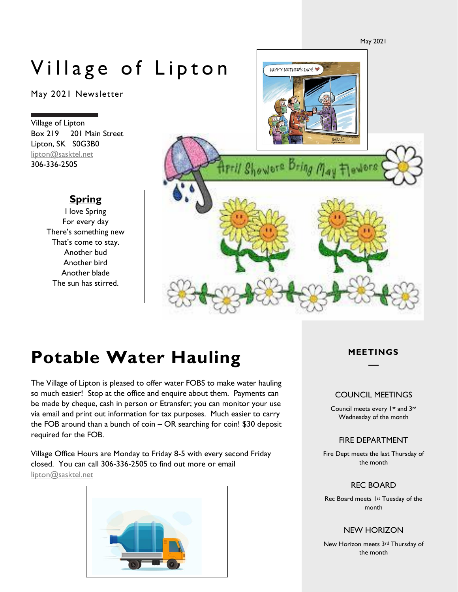May 2021

# Village of Lipton

May 2021 Newsletter

Village of Lipton Box 219 201 Main Street Lipton, SK S0G3B0 [lipton@sasktel.net](mailto:lipton@sasktel.net) 306-336-2505

# **Spring**

I love Spring For every day There's something new That's come to stay. Another bud Another bird Another blade The sun has stirred.



# **Potable Water Hauling**

The Village of Lipton is pleased to offer water FOBS to make water hauling so much easier! Stop at the office and enquire about them. Payments can be made by cheque, cash in person or Etransfer; you can monitor your use via email and print out information for tax purposes. Much easier to carry the FOB around than a bunch of coin – OR searching for coin! \$30 deposit required for the FOB.

Village Office Hours are Monday to Friday 8-5 with every second Friday closed. You can call 306-336-2505 to find out more or email [lipton@sasktel.net](mailto:lipton@sasktel.net)



## **MEETINGS**

### COUNCIL MEETINGS

Council meets every 1st and 3rd Wednesday of the month

### FIRE DEPARTMENT

Fire Dept meets the last Thursday of the month

### REC BOARD

Rec Board meets 1st Tuesday of the month

### NEW HORIZON

New Horizon meets 3rd Thursday of the month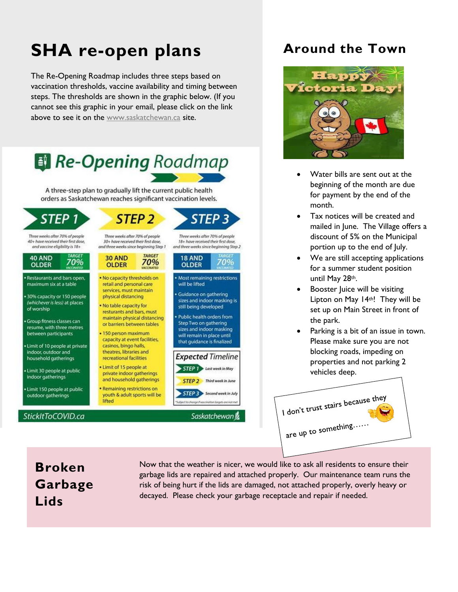# **SHA re-open plans**

The Re-Opening Roadmap includes three steps based on vaccination thresholds, vaccine availability and timing between steps. The thresholds are shown in the graphic below. (If you cannot see this graphic in your email, please click on the link above to see it on the [www.saskatchewan.ca](http://www.saskatchewan.ca/) site.



# **Around the Town**



- Water bills are sent out at the beginning of the month are due for payment by the end of the month.
- Tax notices will be created and mailed in June. The Village offers a discount of 5% on the Municipal portion up to the end of July.
- We are still accepting applications for a summer student position until May 28th.
- Booster Juice will be visiting Lipton on May 14th! They will be set up on Main Street in front of the park.
- Parking is a bit of an issue in town. Please make sure you are not blocking roads, impeding on properties and not parking 2 vehicles deep.



# **Broken Garbage Lids**

Now that the weather is nicer, we would like to ask all residents to ensure their garbage lids are repaired and attached properly. Our maintenance team runs the risk of being hurt if the lids are damaged, not attached properly, overly heavy or decayed. Please check your garbage receptacle and repair if needed.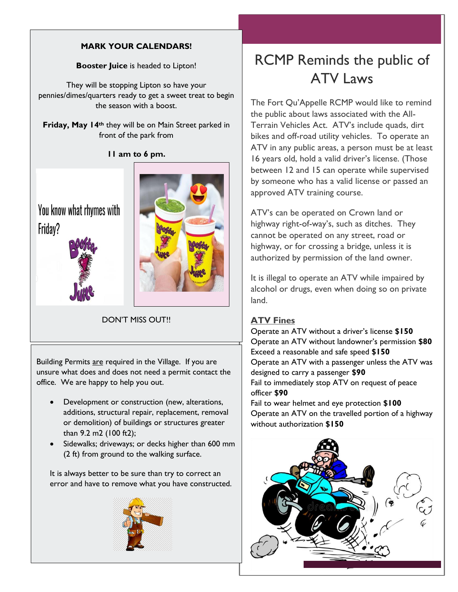# **MARK YOUR CALENDARS!**

**Booster Juice** is headed to Lipton!

They will be stopping Lipton so have your pennies/dimes/quarters ready to get a sweet treat to begin the season with a boost.

**Friday, May 14th** they will be on Main Street parked in front of the park from

**11 am to 6 pm.**

You know what rhymes with Friday?





DON'T MISS OUT!!

Building Permits are required in the Village. If you are unsure what does and does not need a permit contact the office. We are happy to help you out.

- Development or construction (new, alterations, additions, structural repair, replacement, removal or demolition) of buildings or structures greater than 9.2 m2 (100 ft2);
- Sidewalks; driveways; or decks higher than 600 mm (2 ft) from ground to the walking surface.

It is always better to be sure than try to correct an error and have to remove what you have constructed.



# RCMP Reminds the public of ATV Laws

The Fort Qu'Appelle RCMP would like to remind the public about laws associated with the All-Terrain Vehicles Act. ATV's include quads, dirt bikes and off-road utility vehicles. To operate an ATV in any public areas, a person must be at least 16 years old, hold a valid driver's license. (Those between 12 and 15 can operate while supervised by someone who has a valid license or passed an approved ATV training course.

ATV's can be operated on Crown land or highway right-of-way's, such as ditches. They cannot be operated on any street, road or highway, or for crossing a bridge, unless it is authorized by permission of the land owner.

It is illegal to operate an ATV while impaired by alcohol or drugs, even when doing so on private land.

# **ATV Fines**

Operate an ATV without a driver's license **\$150** Operate an ATV without landowner's permission **\$80** Exceed a reasonable and safe speed **\$150** Operate an ATV with a passenger unless the ATV was designed to carry a passenger **\$90** Fail to immediately stop ATV on request of peace officer **\$90** Fail to wear helmet and eye protection **\$100**

Operate an ATV on the travelled portion of a highway without authorization **\$150**

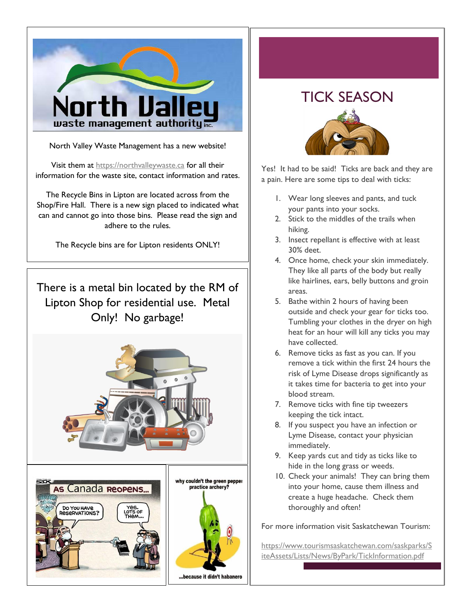

North Valley Waste Management has a new website!

Visit them at [https://northvalleywaste.ca](https://northvalleywaste.ca/) for all their information for the waste site, contact information and rates.

The Recycle Bins in Lipton are located across from the Shop/Fire Hall. There is a new sign placed to indicated what can and cannot go into those bins. Please read the sign and adhere to the rules.

The Recycle bins are for Lipton residents ONLY!

There is a metal bin located by the RM of Lipton Shop for residential use. Metal Only! No garbage!



# TICK SEASON



Yes! It had to be said! Ticks are back and they are a pain. Here are some tips to deal with ticks:

- 1. Wear long sleeves and pants, and tuck your pants into your socks.
- 2. Stick to the middles of the trails when hiking.
- 3. Insect repellant is effective with at least 30% deet.
- 4. Once home, check your skin immediately. They like all parts of the body but really like hairlines, ears, belly buttons and groin areas.
- 5. Bathe within 2 hours of having been outside and check your gear for ticks too. Tumbling your clothes in the dryer on high heat for an hour will kill any ticks you may have collected.
- 6. Remove ticks as fast as you can. If you remove a tick within the first 24 hours the risk of Lyme Disease drops significantly as it takes time for bacteria to get into your blood stream.
- 7. Remove ticks with fine tip tweezers keeping the tick intact.
- 8. If you suspect you have an infection or Lyme Disease, contact your physician immediately.
- 9. Keep yards cut and tidy as ticks like to hide in the long grass or weeds.
- 10. Check your animals! They can bring them into your home, cause them illness and create a huge headache. Check them thoroughly and often!

For more information visit Saskatchewan Tourism:

[https://www.tourismsaskatchewan.com/saskparks/S](https://www.tourismsaskatchewan.com/saskparks/SiteAssets/Lists/News/ByPark/TickInformation.pdf) [iteAssets/Lists/News/ByPark/TickInformation.pdf](https://www.tourismsaskatchewan.com/saskparks/SiteAssets/Lists/News/ByPark/TickInformation.pdf)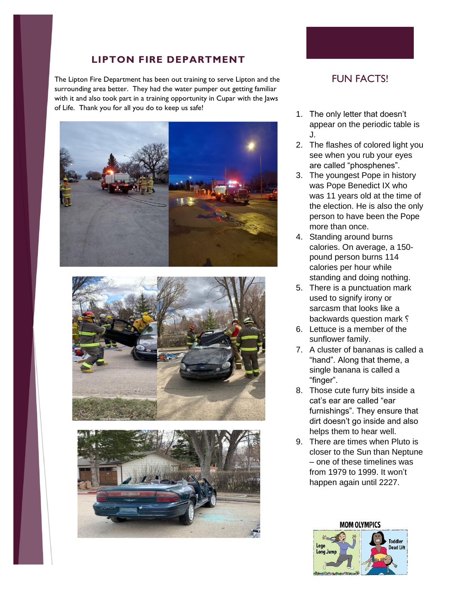# **LIPTON FIRE DEPARTMENT**

The Lipton Fire Department has been out training to serve Lipton and the surrounding area better. They had the water pumper out getting familiar with it and also took part in a training opportunity in Cupar with the Jaws of Life. Thank you for all you do to keep us safe!







# FUN FACTS!

- 1. The only letter that doesn't appear on the periodic table is J.
- 2. The flashes of colored light you see when you rub your eyes are called "phosphenes".
- 3. The youngest Pope in history was Pope Benedict IX who was 11 years old at the time of the election. He is also the only person to have been the Pope more than once.
- 4. Standing around burns calories. On average, a 150 pound person burns 114 calories per hour while standing and doing nothing.
- 5. There is a punctuation mark used to signify irony or sarcasm that looks like a backwards question mark ?
- 6. Lettuce is a member of the sunflower family.
- 7. A cluster of bananas is called a "hand". Along that theme, a single banana is called a "finger".
- 8. Those cute furry bits inside a cat's ear are called "ear furnishings". They ensure that dirt doesn't go inside and also helps them to hear well.
- 9. There are times when Pluto is closer to the Sun than Neptune – one of these timelines was from 1979 to 1999. It won't happen again until 2227.